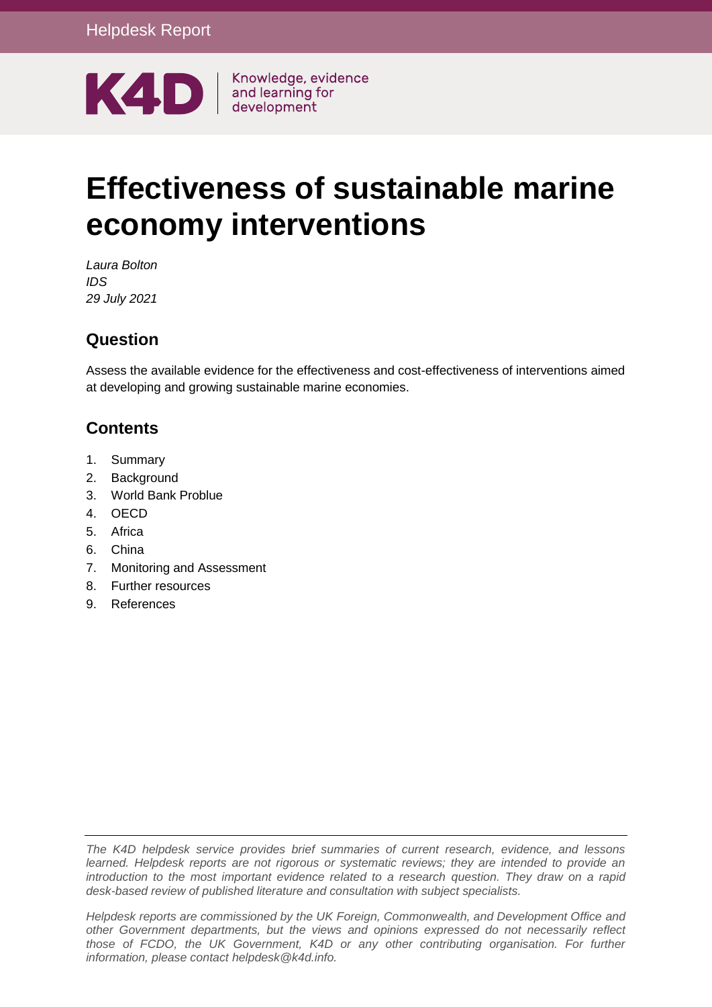

# **Effectiveness of sustainable marine economy interventions**

*Laura Bolton IDS 29 July 2021*

### **Question**

Assess the available evidence for the effectiveness and cost-effectiveness of interventions aimed at developing and growing sustainable marine economies.

# **Contents**

- 1. [Summary](#page-1-0)
- 2. [Background](#page-2-0)
- 3. [World Bank Problue](#page-3-0)
- 4. [OECD](#page-3-1)
- 5. [Africa](#page-4-0)
- 6. [China](#page-5-0)
- 7. [Monitoring and Assessment](#page-6-0)
- 8. [Further resources](#page-7-0)
- 9. [References](#page-11-0)

*The K4D helpdesk service provides brief summaries of current research, evidence, and lessons learned. Helpdesk reports are not rigorous or systematic reviews; they are intended to provide an introduction to the most important evidence related to a research question. They draw on a rapid desk-based review of published literature and consultation with subject specialists.* 

*Helpdesk reports are commissioned by the UK Foreign, Commonwealth, and Development Office and other Government departments, but the views and opinions expressed do not necessarily reflect*  those of FCDO, the UK Government, K4D or any other contributing organisation. For further *information, please contact helpdesk@k4d.info.*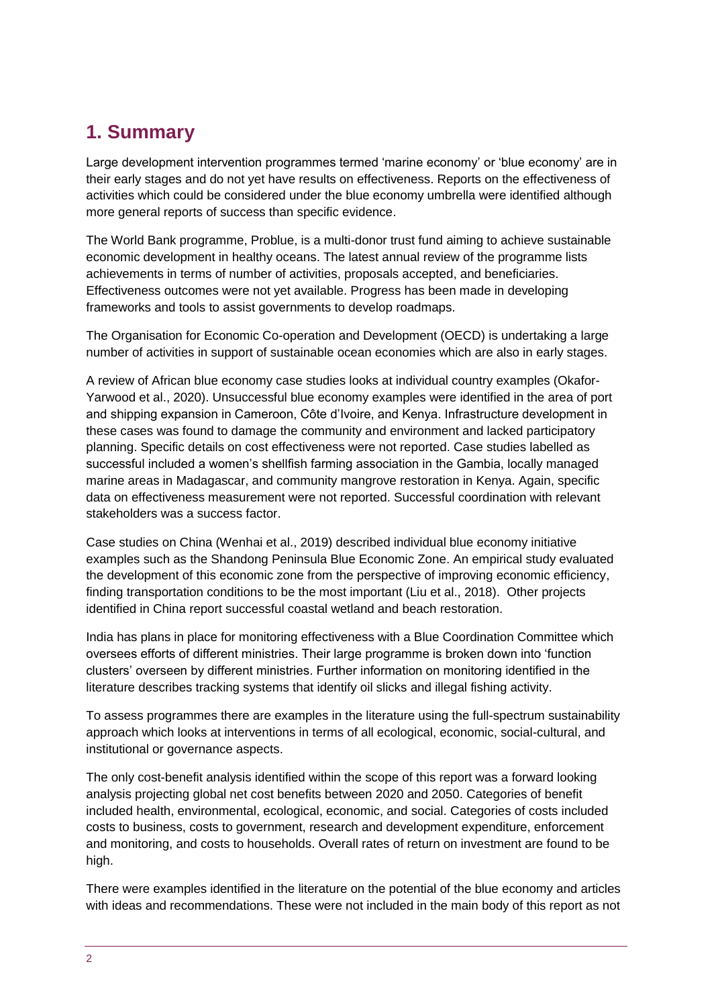# <span id="page-1-0"></span>**1. Summary**

Large development intervention programmes termed 'marine economy' or 'blue economy' are in their early stages and do not yet have results on effectiveness. Reports on the effectiveness of activities which could be considered under the blue economy umbrella were identified although more general reports of success than specific evidence.

The World Bank programme, Problue, is a multi-donor trust fund aiming to achieve sustainable economic development in healthy oceans. The latest annual review of the programme lists achievements in terms of number of activities, proposals accepted, and beneficiaries. Effectiveness outcomes were not yet available. Progress has been made in developing frameworks and tools to assist governments to develop roadmaps.

The Organisation for Economic Co-operation and Development (OECD) is undertaking a large number of activities in support of sustainable ocean economies which are also in early stages.

A review of African blue economy case studies looks at individual country examples (Okafor-Yarwood et al., 2020). Unsuccessful blue economy examples were identified in the area of port and shipping expansion in Cameroon, Côte d'Ivoire, and Kenya. Infrastructure development in these cases was found to damage the community and environment and lacked participatory planning. Specific details on cost effectiveness were not reported. Case studies labelled as successful included a women's shellfish farming association in the Gambia, locally managed marine areas in Madagascar, and community mangrove restoration in Kenya. Again, specific data on effectiveness measurement were not reported. Successful coordination with relevant stakeholders was a success factor.

Case studies on China (Wenhai et al., 2019) described individual blue economy initiative examples such as the Shandong Peninsula Blue Economic Zone. An empirical study evaluated the development of this economic zone from the perspective of improving economic efficiency, finding transportation conditions to be the most important (Liu et al., 2018). Other projects identified in China report successful coastal wetland and beach restoration.

India has plans in place for monitoring effectiveness with a Blue Coordination Committee which oversees efforts of different ministries. Their large programme is broken down into 'function clusters' overseen by different ministries. Further information on monitoring identified in the literature describes tracking systems that identify oil slicks and illegal fishing activity.

To assess programmes there are examples in the literature using the full-spectrum sustainability approach which looks at interventions in terms of all ecological, economic, social-cultural, and institutional or governance aspects.

The only cost-benefit analysis identified within the scope of this report was a forward looking analysis projecting global net cost benefits between 2020 and 2050. Categories of benefit included health, environmental, ecological, economic, and social. Categories of costs included costs to business, costs to government, research and development expenditure, enforcement and monitoring, and costs to households. Overall rates of return on investment are found to be high.

There were examples identified in the literature on the potential of the blue economy and articles with ideas and recommendations. These were not included in the main body of this report as not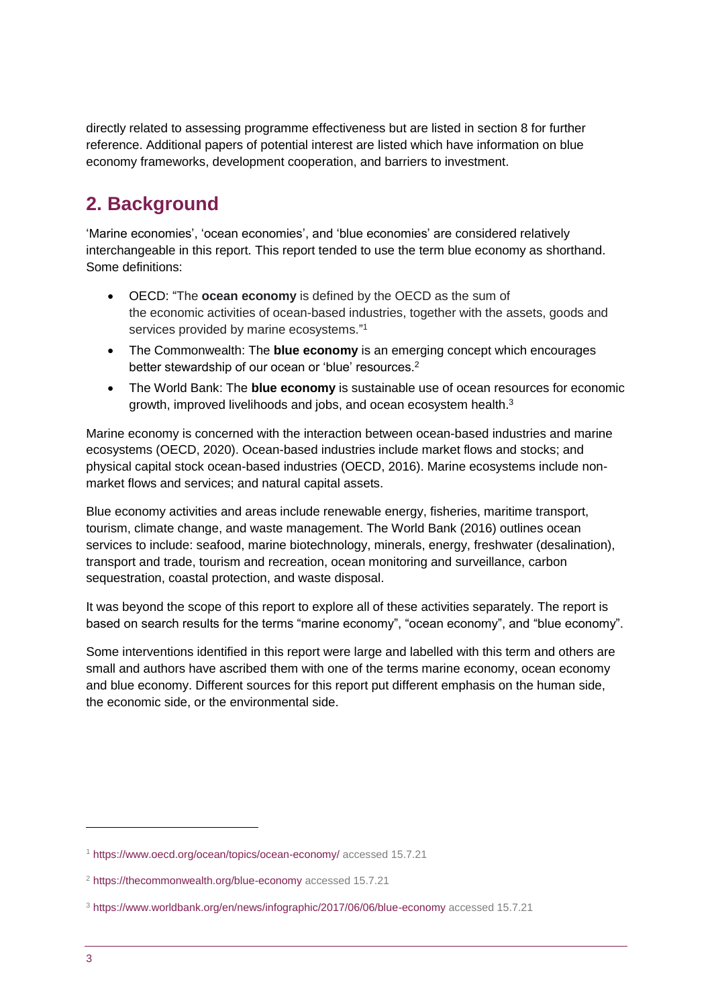directly related to assessing programme effectiveness but are listed in section 8 for further reference. Additional papers of potential interest are listed which have information on blue economy frameworks, development cooperation, and barriers to investment.

# <span id="page-2-0"></span>**2. Background**

'Marine economies', 'ocean economies', and 'blue economies' are considered relatively interchangeable in this report. This report tended to use the term blue economy as shorthand. Some definitions:

- OECD: "The **ocean economy** is defined by the OECD as the sum of the economic activities of ocean-based industries, together with the assets, goods and services provided by marine ecosystems."<sup>1</sup>
- The Commonwealth: The **blue economy** is an emerging concept which encourages better stewardship of our ocean or 'blue' resources.<sup>2</sup>
- The World Bank: The **blue economy** is sustainable use of ocean resources for economic growth, improved livelihoods and jobs, and ocean ecosystem health.<sup>3</sup>

Marine economy is concerned with the interaction between ocean-based industries and marine ecosystems (OECD, 2020). Ocean-based industries include market flows and stocks; and physical capital stock ocean-based industries (OECD, 2016). Marine ecosystems include nonmarket flows and services; and natural capital assets.

Blue economy activities and areas include renewable energy, fisheries, maritime transport, tourism, climate change, and waste management. The World Bank (2016) outlines ocean services to include: seafood, marine biotechnology, minerals, energy, freshwater (desalination), transport and trade, tourism and recreation, ocean monitoring and surveillance, carbon sequestration, coastal protection, and waste disposal.

It was beyond the scope of this report to explore all of these activities separately. The report is based on search results for the terms "marine economy", "ocean economy", and "blue economy".

Some interventions identified in this report were large and labelled with this term and others are small and authors have ascribed them with one of the terms marine economy, ocean economy and blue economy. Different sources for this report put different emphasis on the human side, the economic side, or the environmental side.

-

<sup>1</sup> <https://www.oecd.org/ocean/topics/ocean-economy/> accessed 15.7.21

<sup>2</sup> <https://thecommonwealth.org/blue-economy> accessed 15.7.21

<sup>3</sup> <https://www.worldbank.org/en/news/infographic/2017/06/06/blue-economy> accessed 15.7.21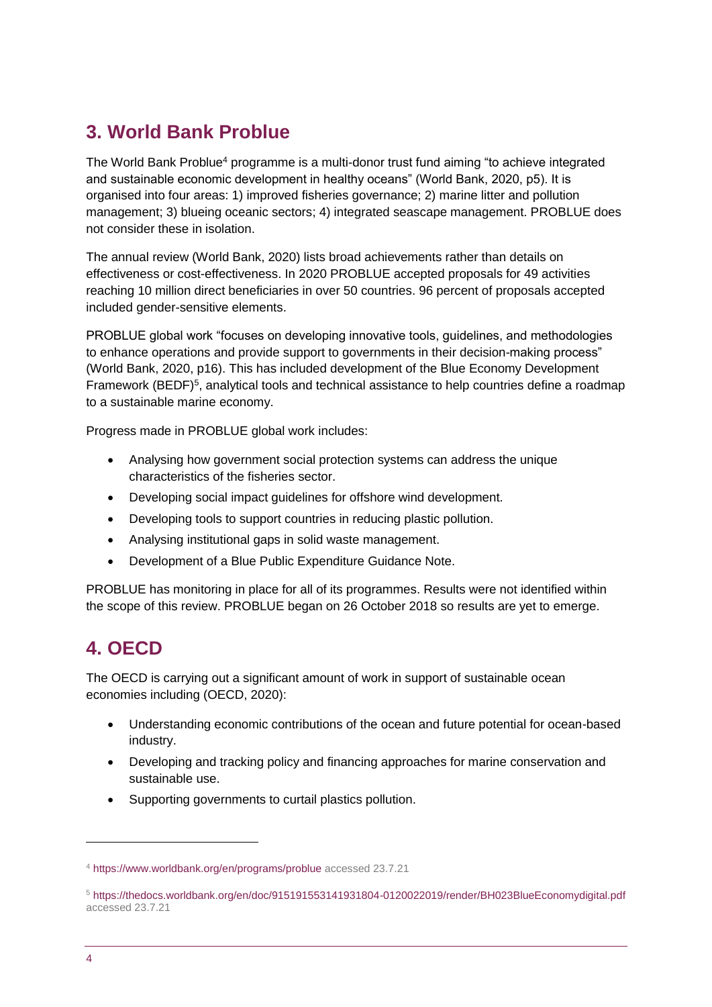# <span id="page-3-0"></span>**3. World Bank Problue**

The World Bank Problue<sup>4</sup> programme is a multi-donor trust fund aiming "to achieve integrated" and sustainable economic development in healthy oceans" (World Bank, 2020, p5). It is organised into four areas: 1) improved fisheries governance; 2) marine litter and pollution management; 3) blueing oceanic sectors; 4) integrated seascape management. PROBLUE does not consider these in isolation.

The annual review (World Bank, 2020) lists broad achievements rather than details on effectiveness or cost-effectiveness. In 2020 PROBLUE accepted proposals for 49 activities reaching 10 million direct beneficiaries in over 50 countries. 96 percent of proposals accepted included gender-sensitive elements.

PROBLUE global work "focuses on developing innovative tools, guidelines, and methodologies to enhance operations and provide support to governments in their decision-making process" (World Bank, 2020, p16). This has included development of the Blue Economy Development Framework (BEDF)<sup>5</sup>, analytical tools and technical assistance to help countries define a roadmap to a sustainable marine economy.

Progress made in PROBLUE global work includes:

- Analysing how government social protection systems can address the unique characteristics of the fisheries sector.
- Developing social impact guidelines for offshore wind development.
- Developing tools to support countries in reducing plastic pollution.
- Analysing institutional gaps in solid waste management.
- Development of a Blue Public Expenditure Guidance Note.

PROBLUE has monitoring in place for all of its programmes. Results were not identified within the scope of this review. PROBLUE began on 26 October 2018 so results are yet to emerge.

# <span id="page-3-1"></span>**4. OECD**

The OECD is carrying out a significant amount of work in support of sustainable ocean economies including (OECD, 2020):

- Understanding economic contributions of the ocean and future potential for ocean-based industry.
- Developing and tracking policy and financing approaches for marine conservation and sustainable use.
- Supporting governments to curtail plastics pollution.

-

<sup>4</sup> <https://www.worldbank.org/en/programs/problue> accessed 23.7.21

<sup>5</sup> <https://thedocs.worldbank.org/en/doc/915191553141931804-0120022019/render/BH023BlueEconomydigital.pdf> accessed 23.7.21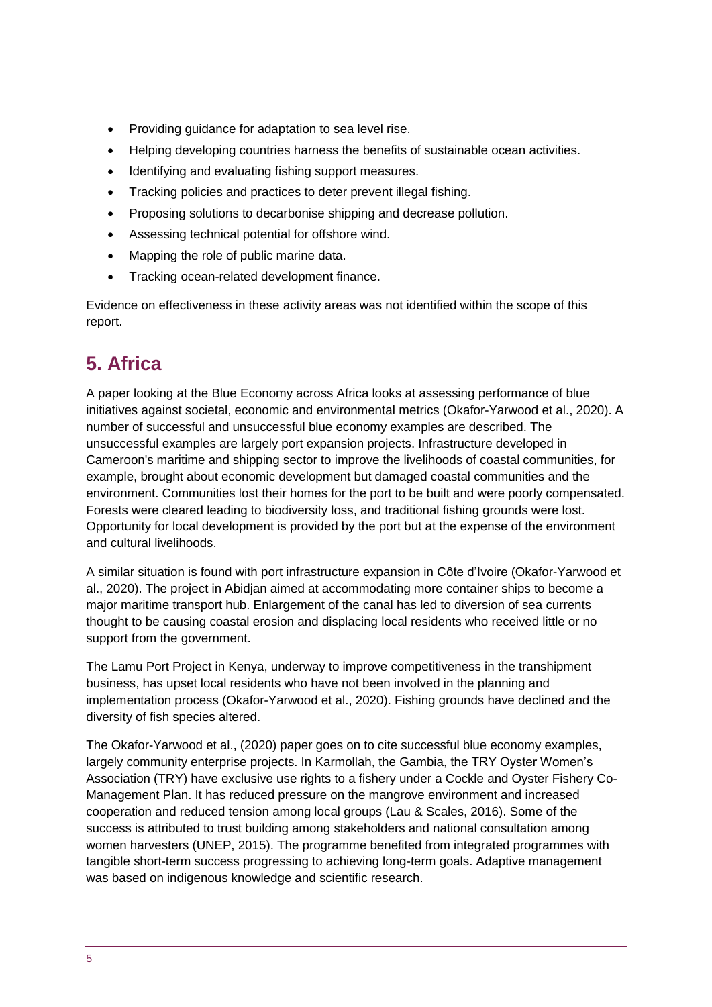- Providing quidance for adaptation to sea level rise.
- Helping developing countries harness the benefits of sustainable ocean activities.
- Identifying and evaluating fishing support measures.
- Tracking policies and practices to deter prevent illegal fishing.
- Proposing solutions to decarbonise shipping and decrease pollution.
- Assessing technical potential for offshore wind.
- Mapping the role of public marine data.
- Tracking ocean-related development finance.

Evidence on effectiveness in these activity areas was not identified within the scope of this report.

# <span id="page-4-0"></span>**5. Africa**

A paper looking at the Blue Economy across Africa looks at assessing performance of blue initiatives against societal, economic and environmental metrics (Okafor-Yarwood et al., 2020). A number of successful and unsuccessful blue economy examples are described. The unsuccessful examples are largely port expansion projects. Infrastructure developed in Cameroon's maritime and shipping sector to improve the livelihoods of coastal communities, for example, brought about economic development but damaged coastal communities and the environment. Communities lost their homes for the port to be built and were poorly compensated. Forests were cleared leading to biodiversity loss, and traditional fishing grounds were lost. Opportunity for local development is provided by the port but at the expense of the environment and cultural livelihoods.

A similar situation is found with port infrastructure expansion in Côte d'Ivoire (Okafor-Yarwood et al., 2020). The project in Abidjan aimed at accommodating more container ships to become a major maritime transport hub. Enlargement of the canal has led to diversion of sea currents thought to be causing coastal erosion and displacing local residents who received little or no support from the government.

The Lamu Port Project in Kenya, underway to improve competitiveness in the transhipment business, has upset local residents who have not been involved in the planning and implementation process (Okafor-Yarwood et al., 2020). Fishing grounds have declined and the diversity of fish species altered.

The Okafor-Yarwood et al., (2020) paper goes on to cite successful blue economy examples, largely community enterprise projects. In Karmollah, the Gambia, the TRY Oyster Women's Association (TRY) have exclusive use rights to a fishery under a Cockle and Oyster Fishery Co-Management Plan. It has reduced pressure on the mangrove environment and increased cooperation and reduced tension among local groups (Lau & Scales, 2016). Some of the success is attributed to trust building among stakeholders and national consultation among women harvesters (UNEP, 2015). The programme benefited from integrated programmes with tangible short-term success progressing to achieving long-term goals. Adaptive management was based on indigenous knowledge and scientific research.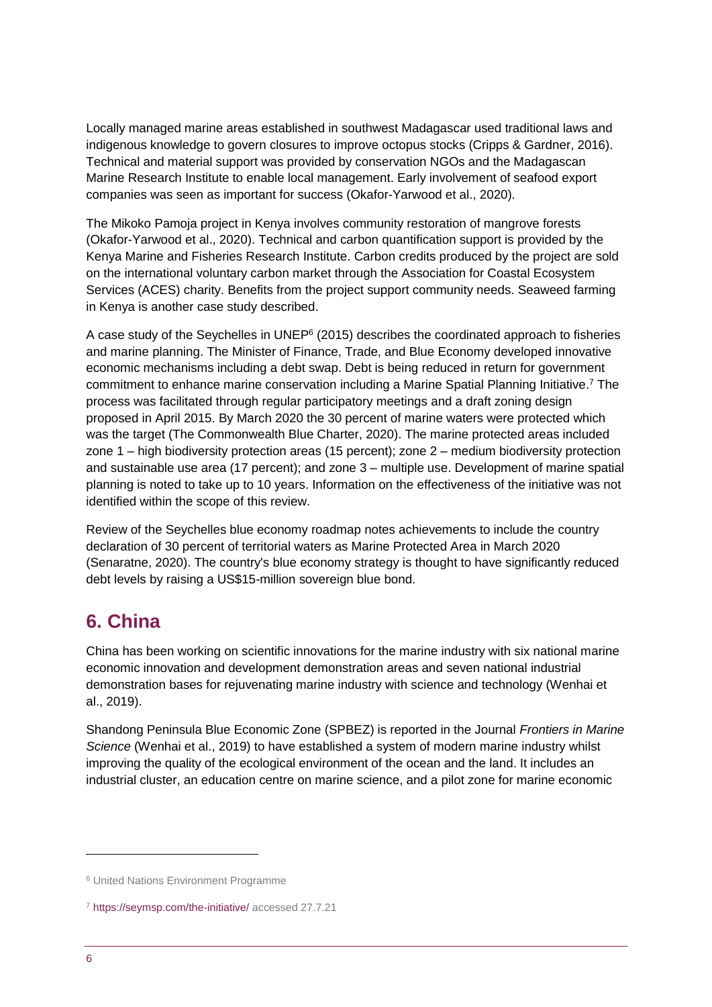Locally managed marine areas established in southwest Madagascar used traditional laws and indigenous knowledge to govern closures to improve octopus stocks (Cripps & Gardner, 2016). Technical and material support was provided by conservation NGOs and the Madagascan Marine Research Institute to enable local management. Early involvement of seafood export companies was seen as important for success (Okafor-Yarwood et al., 2020).

The Mikoko Pamoja project in Kenya involves community restoration of mangrove forests (Okafor-Yarwood et al., 2020). Technical and carbon quantification support is provided by the Kenya Marine and Fisheries Research Institute. Carbon credits produced by the project are sold on the international voluntary carbon market through the Association for Coastal Ecosystem Services (ACES) charity. Benefits from the project support community needs. Seaweed farming in Kenya is another case study described.

A case study of the Seychelles in UNEP<sup>6</sup> (2015) describes the coordinated approach to fisheries and marine planning. The Minister of Finance, Trade, and Blue Economy developed innovative economic mechanisms including a debt swap. Debt is being reduced in return for government commitment to enhance marine conservation including a Marine Spatial Planning Initiative. <sup>7</sup> The process was facilitated through regular participatory meetings and a draft zoning design proposed in April 2015. By March 2020 the 30 percent of marine waters were protected which was the target (The Commonwealth Blue Charter, 2020). The marine protected areas included zone 1 – high biodiversity protection areas (15 percent); zone 2 – medium biodiversity protection and sustainable use area (17 percent); and zone 3 – multiple use. Development of marine spatial planning is noted to take up to 10 years. Information on the effectiveness of the initiative was not identified within the scope of this review.

Review of the Seychelles blue economy roadmap notes achievements to include the country declaration of 30 percent of territorial waters as Marine Protected Area in March 2020 (Senaratne, 2020). The country's blue economy strategy is thought to have significantly reduced debt levels by raising a US\$15-million sovereign blue bond.

# <span id="page-5-0"></span>**6. China**

China has been working on scientific innovations for the marine industry with six national marine economic innovation and development demonstration areas and seven national industrial demonstration bases for rejuvenating marine industry with science and technology (Wenhai et al., 2019).

Shandong Peninsula Blue Economic Zone (SPBEZ) is reported in the Journal *Frontiers in Marine Science* (Wenhai et al., 2019) to have established a system of modern marine industry whilst improving the quality of the ecological environment of the ocean and the land. It includes an industrial cluster, an education centre on marine science, and a pilot zone for marine economic

1

<sup>6</sup> United Nations Environment Programme

<sup>7</sup> <https://seymsp.com/the-initiative/> accessed 27.7.21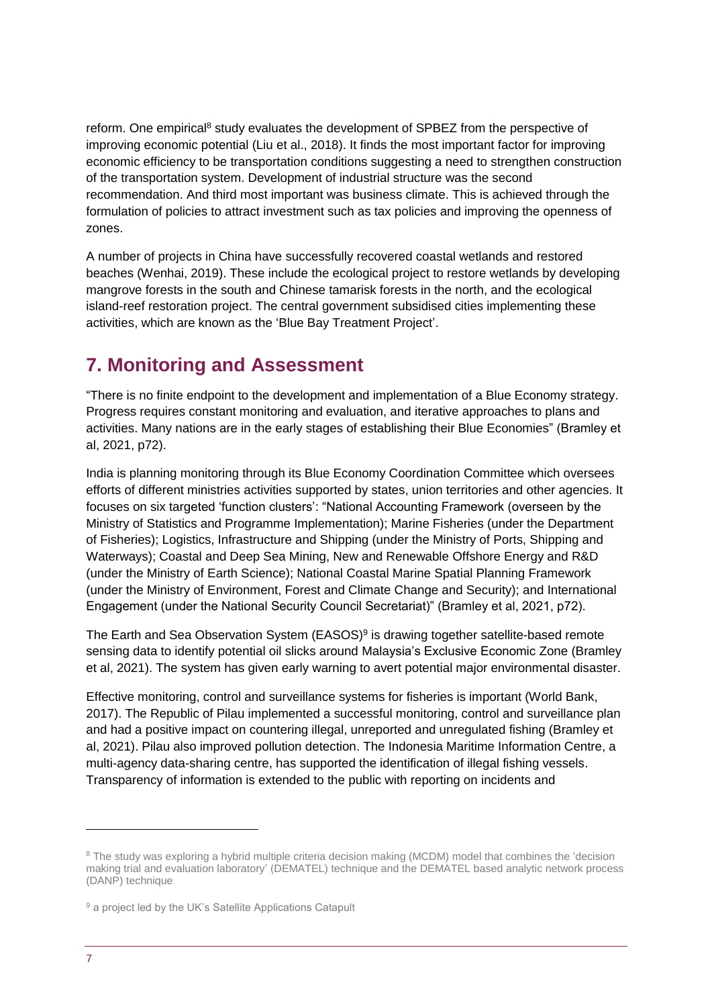reform. One empirical<sup>8</sup> study evaluates the development of SPBEZ from the perspective of improving economic potential (Liu et al., 2018). It finds the most important factor for improving economic efficiency to be transportation conditions suggesting a need to strengthen construction of the transportation system. Development of industrial structure was the second recommendation. And third most important was business climate. This is achieved through the formulation of policies to attract investment such as tax policies and improving the openness of zones.

A number of projects in China have successfully recovered coastal wetlands and restored beaches (Wenhai, 2019). These include the ecological project to restore wetlands by developing mangrove forests in the south and Chinese tamarisk forests in the north, and the ecological island-reef restoration project. The central government subsidised cities implementing these activities, which are known as the 'Blue Bay Treatment Project'.

# <span id="page-6-0"></span>**7. Monitoring and Assessment**

"There is no finite endpoint to the development and implementation of a Blue Economy strategy. Progress requires constant monitoring and evaluation, and iterative approaches to plans and activities. Many nations are in the early stages of establishing their Blue Economies" (Bramley et al, 2021, p72).

India is planning monitoring through its Blue Economy Coordination Committee which oversees efforts of different ministries activities supported by states, union territories and other agencies. It focuses on six targeted 'function clusters': "National Accounting Framework (overseen by the Ministry of Statistics and Programme Implementation); Marine Fisheries (under the Department of Fisheries); Logistics, Infrastructure and Shipping (under the Ministry of Ports, Shipping and Waterways); Coastal and Deep Sea Mining, New and Renewable Offshore Energy and R&D (under the Ministry of Earth Science); National Coastal Marine Spatial Planning Framework (under the Ministry of Environment, Forest and Climate Change and Security); and International Engagement (under the National Security Council Secretariat)" (Bramley et al, 2021, p72).

The Earth and Sea Observation System (EASOS)<sup>9</sup> is drawing together satellite-based remote sensing data to identify potential oil slicks around Malaysia's Exclusive Economic Zone (Bramley et al, 2021). The system has given early warning to avert potential major environmental disaster.

Effective monitoring, control and surveillance systems for fisheries is important (World Bank, 2017). The Republic of Pilau implemented a successful monitoring, control and surveillance plan and had a positive impact on countering illegal, unreported and unregulated fishing (Bramley et al, 2021). Pilau also improved pollution detection. The Indonesia Maritime Information Centre, a multi-agency data-sharing centre, has supported the identification of illegal fishing vessels. Transparency of information is extended to the public with reporting on incidents and

1

<sup>&</sup>lt;sup>8</sup> The study was exploring a hybrid multiple criteria decision making (MCDM) model that combines the 'decision making trial and evaluation laboratory' (DEMATEL) technique and the DEMATEL based analytic network process (DANP) technique

<sup>&</sup>lt;sup>9</sup> a project led by the UK's Satellite Applications Catapult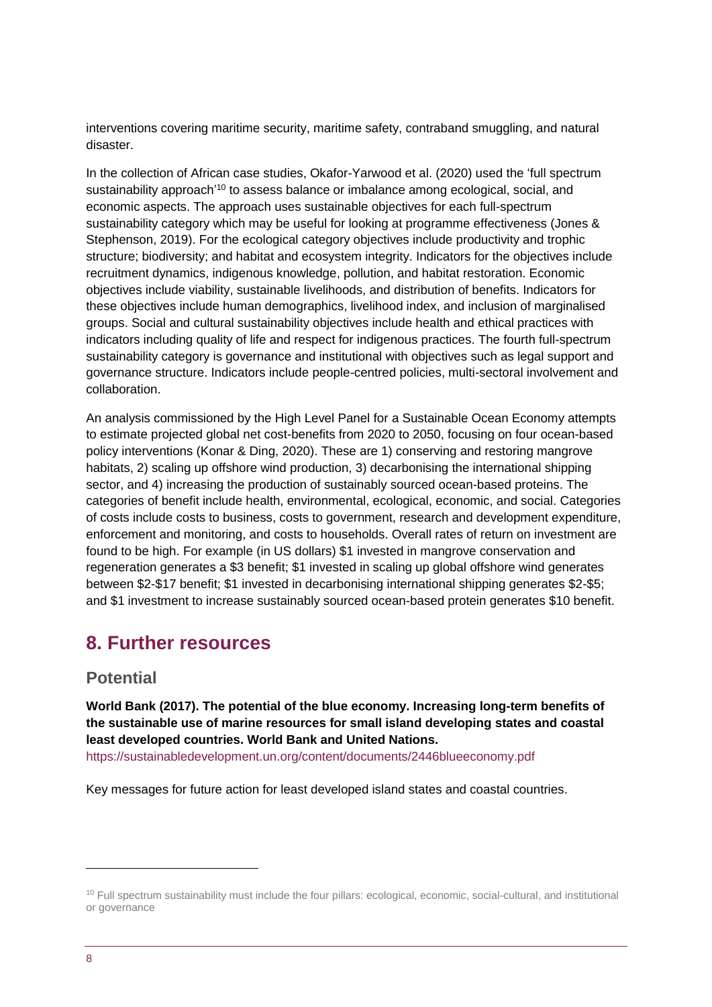interventions covering maritime security, maritime safety, contraband smuggling, and natural disaster.

In the collection of African case studies, Okafor-Yarwood et al. (2020) used the 'full spectrum sustainability approach'<sup>10</sup> to assess balance or imbalance among ecological, social, and economic aspects. The approach uses sustainable objectives for each full-spectrum sustainability category which may be useful for looking at programme effectiveness (Jones & Stephenson, 2019). For the ecological category objectives include productivity and trophic structure; biodiversity; and habitat and ecosystem integrity. Indicators for the objectives include recruitment dynamics, indigenous knowledge, pollution, and habitat restoration. Economic objectives include viability, sustainable livelihoods, and distribution of benefits. Indicators for these objectives include human demographics, livelihood index, and inclusion of marginalised groups. Social and cultural sustainability objectives include health and ethical practices with indicators including quality of life and respect for indigenous practices. The fourth full-spectrum sustainability category is governance and institutional with objectives such as legal support and governance structure. Indicators include people-centred policies, multi-sectoral involvement and collaboration.

An analysis commissioned by the High Level Panel for a Sustainable Ocean Economy attempts to estimate projected global net cost-benefits from 2020 to 2050, focusing on four ocean-based policy interventions (Konar & Ding, 2020). These are 1) conserving and restoring mangrove habitats, 2) scaling up offshore wind production, 3) decarbonising the international shipping sector, and 4) increasing the production of sustainably sourced ocean-based proteins. The categories of benefit include health, environmental, ecological, economic, and social. Categories of costs include costs to business, costs to government, research and development expenditure, enforcement and monitoring, and costs to households. Overall rates of return on investment are found to be high. For example (in US dollars) \$1 invested in mangrove conservation and regeneration generates a \$3 benefit; \$1 invested in scaling up global offshore wind generates between \$2-\$17 benefit; \$1 invested in decarbonising international shipping generates \$2-\$5; and \$1 investment to increase sustainably sourced ocean-based protein generates \$10 benefit.

# <span id="page-7-0"></span>**8. Further resources**

#### **Potential**

**World Bank (2017). The potential of the blue economy. Increasing long-term benefits of the sustainable use of marine resources for small island developing states and coastal least developed countries. World Bank and United Nations.** <https://sustainabledevelopment.un.org/content/documents/2446blueeconomy.pdf>

Key messages for future action for least developed island states and coastal countries.

1

<sup>&</sup>lt;sup>10</sup> Full spectrum sustainability must include the four pillars: ecological, economic, social-cultural, and institutional or governance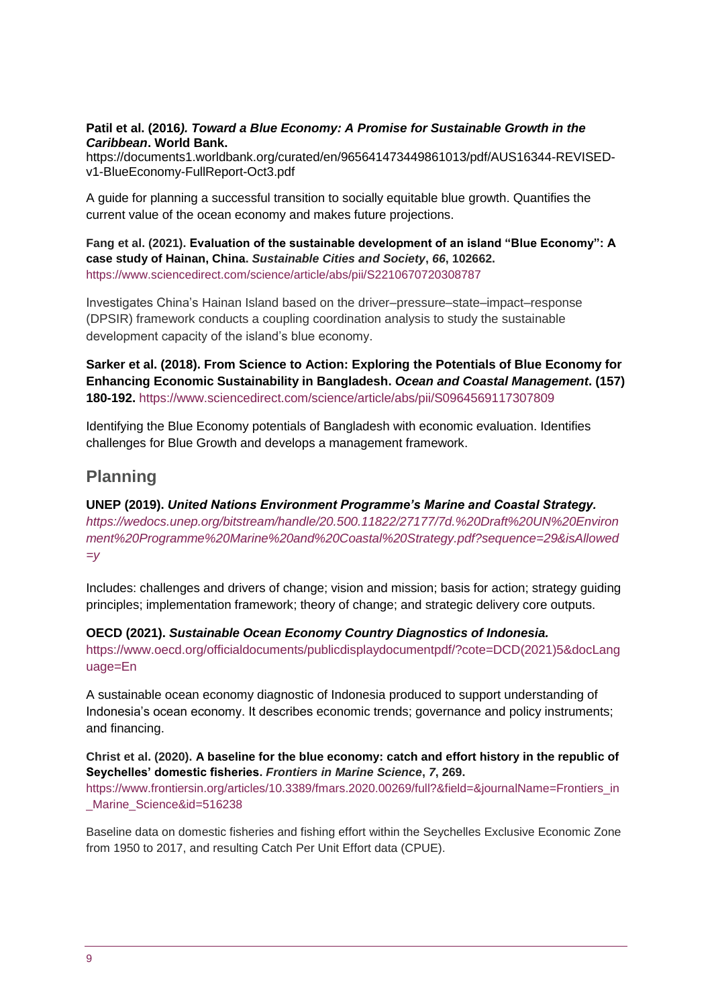#### **Patil et al. (2016***). Toward a Blue Economy: A Promise for Sustainable Growth in the Caribbean***. World Bank.**

https://documents1.worldbank.org/curated/en/965641473449861013/pdf/AUS16344-REVISEDv1-BlueEconomy-FullReport-Oct3.pdf

A guide for planning a successful transition to socially equitable blue growth. Quantifies the current value of the ocean economy and makes future projections.

**Fang et al. (2021). Evaluation of the sustainable development of an island "Blue Economy": A case study of Hainan, China.** *Sustainable Cities and Society***,** *66***, 102662.** <https://www.sciencedirect.com/science/article/abs/pii/S2210670720308787>

Investigates China's Hainan Island based on the driver–pressure–state–impact–response (DPSIR) framework conducts a coupling coordination analysis to study the sustainable development capacity of the island's blue economy.

**Sarker et al. (2018). From Science to Action: Exploring the Potentials of Blue Economy for Enhancing Economic Sustainability in Bangladesh.** *Ocean and Coastal Management***. (157) 180-192.** <https://www.sciencedirect.com/science/article/abs/pii/S0964569117307809>

Identifying the Blue Economy potentials of Bangladesh with economic evaluation. Identifies challenges for Blue Growth and develops a management framework.

### **Planning**

#### **UNEP (2019).** *United Nations Environment Programme's Marine and Coastal Strategy.*

*[https://wedocs.unep.org/bitstream/handle/20.500.11822/27177/7d.%20Draft%20UN%20Environ](https://wedocs.unep.org/bitstream/handle/20.500.11822/27177/7d.%20Draft%20UN%20Environment%20Programme%20Marine%20and%20Coastal%20Strategy.pdf?sequence=29&isAllowed=y) [ment%20Programme%20Marine%20and%20Coastal%20Strategy.pdf?sequence=29&isAllowed](https://wedocs.unep.org/bitstream/handle/20.500.11822/27177/7d.%20Draft%20UN%20Environment%20Programme%20Marine%20and%20Coastal%20Strategy.pdf?sequence=29&isAllowed=y) [=y](https://wedocs.unep.org/bitstream/handle/20.500.11822/27177/7d.%20Draft%20UN%20Environment%20Programme%20Marine%20and%20Coastal%20Strategy.pdf?sequence=29&isAllowed=y)*

Includes: challenges and drivers of change; vision and mission; basis for action; strategy guiding principles; implementation framework; theory of change; and strategic delivery core outputs.

#### **OECD (2021).** *Sustainable Ocean Economy Country Diagnostics of Indonesia.*

[https://www.oecd.org/officialdocuments/publicdisplaydocumentpdf/?cote=DCD\(2021\)5&docLang](https://www.oecd.org/officialdocuments/publicdisplaydocumentpdf/?cote=DCD(2021)5&docLanguage=En) [uage=En](https://www.oecd.org/officialdocuments/publicdisplaydocumentpdf/?cote=DCD(2021)5&docLanguage=En)

A sustainable ocean economy diagnostic of Indonesia produced to support understanding of Indonesia's ocean economy. It describes economic trends; governance and policy instruments; and financing.

#### **Christ et al. (2020). A baseline for the blue economy: catch and effort history in the republic of Seychelles' domestic fisheries.** *Frontiers in Marine Science***,** *7***, 269.** [https://www.frontiersin.org/articles/10.3389/fmars.2020.00269/full?&field=&journalName=Frontiers\\_in](https://www.frontiersin.org/articles/10.3389/fmars.2020.00269/full?&field=&journalName=Frontiers_in_Marine_Science&id=516238) Marine Science&id=516238

Baseline data on domestic fisheries and fishing effort within the Seychelles Exclusive Economic Zone from 1950 to 2017, and resulting Catch Per Unit Effort data (CPUE).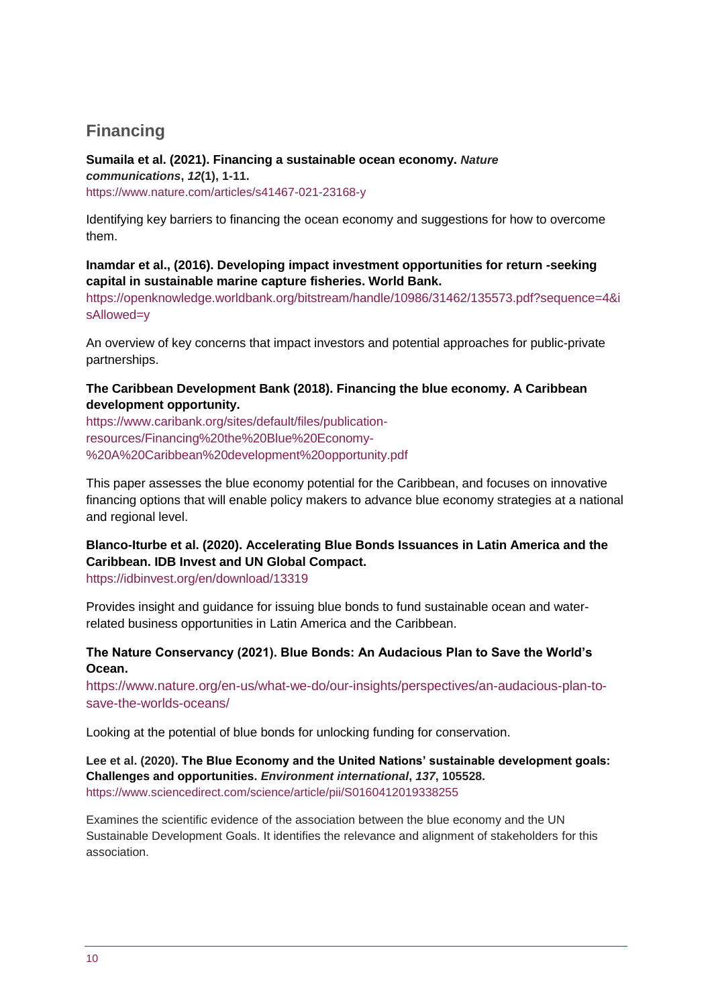# **Financing**

**Sumaila et al. (2021). Financing a sustainable ocean economy.** *Nature communications***,** *12***(1), 1-11.** <https://www.nature.com/articles/s41467-021-23168-y>

Identifying key barriers to financing the ocean economy and suggestions for how to overcome them.

**Inamdar et al., (2016). Developing impact investment opportunities for return -seeking capital in sustainable marine capture fisheries. World Bank.**

[https://openknowledge.worldbank.org/bitstream/handle/10986/31462/135573.pdf?sequence=4&i](https://openknowledge.worldbank.org/bitstream/handle/10986/31462/135573.pdf?sequence=4&isAllowed=y) [sAllowed=y](https://openknowledge.worldbank.org/bitstream/handle/10986/31462/135573.pdf?sequence=4&isAllowed=y)

An overview of key concerns that impact investors and potential approaches for public-private partnerships.

#### **The Caribbean Development Bank (2018). Financing the blue economy. A Caribbean development opportunity.**

[https://www.caribank.org/sites/default/files/publication](https://www.caribank.org/sites/default/files/publication-resources/Financing%20the%20Blue%20Economy-%20A%20Caribbean%20development%20opportunity.pdf)[resources/Financing%20the%20Blue%20Economy-](https://www.caribank.org/sites/default/files/publication-resources/Financing%20the%20Blue%20Economy-%20A%20Caribbean%20development%20opportunity.pdf) [%20A%20Caribbean%20development%20opportunity.pdf](https://www.caribank.org/sites/default/files/publication-resources/Financing%20the%20Blue%20Economy-%20A%20Caribbean%20development%20opportunity.pdf)

This paper assesses the blue economy potential for the Caribbean, and focuses on innovative financing options that will enable policy makers to advance blue economy strategies at a national and regional level.

# **Blanco-Iturbe et al. (2020). Accelerating Blue Bonds Issuances in Latin America and the Caribbean. IDB Invest and UN Global Compact.**

https://idbinvest.org/en/download/13319

Provides insight and guidance for issuing blue bonds to fund sustainable ocean and waterrelated business opportunities in Latin America and the Caribbean.

#### **The Nature Conservancy (2021). Blue Bonds: An Audacious Plan to Save the World's Ocean.**

[https://www.nature.org/en-us/what-we-do/our-insights/perspectives/an-audacious-plan-to](https://www.nature.org/en-us/what-we-do/our-insights/perspectives/an-audacious-plan-to-save-the-worlds-oceans/)[save-the-worlds-oceans/](https://www.nature.org/en-us/what-we-do/our-insights/perspectives/an-audacious-plan-to-save-the-worlds-oceans/)

Looking at the potential of blue bonds for unlocking funding for conservation.

**Lee et al. (2020). The Blue Economy and the United Nations' sustainable development goals: Challenges and opportunities.** *Environment international***,** *137***, 105528.** <https://www.sciencedirect.com/science/article/pii/S0160412019338255>

Examines the scientific evidence of the association between the blue economy and the UN Sustainable Development Goals. It identifies the relevance and alignment of stakeholders for this association.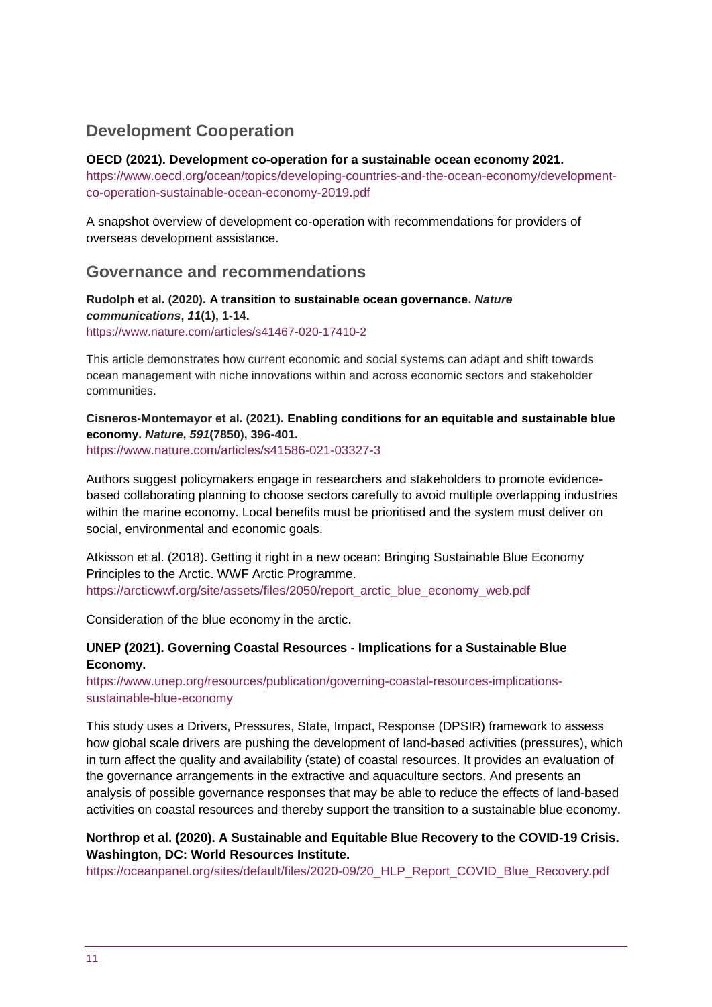### **Development Cooperation**

#### **OECD (2021). Development co-operation for a sustainable ocean economy 2021.**

[https://www.oecd.org/ocean/topics/developing-countries-and-the-ocean-economy/development](https://www.oecd.org/ocean/topics/developing-countries-and-the-ocean-economy/development-co-operation-sustainable-ocean-economy-2019.pdf)[co-operation-sustainable-ocean-economy-2019.pdf](https://www.oecd.org/ocean/topics/developing-countries-and-the-ocean-economy/development-co-operation-sustainable-ocean-economy-2019.pdf)

A snapshot overview of development co-operation with recommendations for providers of overseas development assistance.

### **Governance and recommendations**

**Rudolph et al. (2020). A transition to sustainable ocean governance.** *Nature communications***,** *11***(1), 1-14.** <https://www.nature.com/articles/s41467-020-17410-2>

This article demonstrates how current economic and social systems can adapt and shift towards ocean management with niche innovations within and across economic sectors and stakeholder communities.

**Cisneros-Montemayor et al. (2021). Enabling conditions for an equitable and sustainable blue economy.** *Nature***,** *591***(7850), 396-401.** <https://www.nature.com/articles/s41586-021-03327-3>

Authors suggest policymakers engage in researchers and stakeholders to promote evidencebased collaborating planning to choose sectors carefully to avoid multiple overlapping industries within the marine economy. Local benefits must be prioritised and the system must deliver on social, environmental and economic goals.

Atkisson et al. (2018). Getting it right in a new ocean: Bringing Sustainable Blue Economy Principles to the Arctic. WWF Arctic Programme. [https://arcticwwf.org/site/assets/files/2050/report\\_arctic\\_blue\\_economy\\_web.pdf](https://arcticwwf.org/site/assets/files/2050/report_arctic_blue_economy_web.pdf)

Consideration of the blue economy in the arctic.

#### **UNEP (2021). Governing Coastal Resources - Implications for a Sustainable Blue Economy.**

[https://www.unep.org/resources/publication/governing-coastal-resources-implications](https://www.unep.org/resources/publication/governing-coastal-resources-implications-sustainable-blue-economy)[sustainable-blue-economy](https://www.unep.org/resources/publication/governing-coastal-resources-implications-sustainable-blue-economy)

This study uses a Drivers, Pressures, State, Impact, Response (DPSIR) framework to assess how global scale drivers are pushing the development of land-based activities (pressures), which in turn affect the quality and availability (state) of coastal resources. It provides an evaluation of the governance arrangements in the extractive and aquaculture sectors. And presents an analysis of possible governance responses that may be able to reduce the effects of land-based activities on coastal resources and thereby support the transition to a sustainable blue economy.

#### **Northrop et al. (2020). A Sustainable and Equitable Blue Recovery to the COVID-19 Crisis. Washington, DC: World Resources Institute.**

[https://oceanpanel.org/sites/default/files/2020-09/20\\_HLP\\_Report\\_COVID\\_Blue\\_Recovery.pdf](https://oceanpanel.org/sites/default/files/2020-09/20_HLP_Report_COVID_Blue_Recovery.pdf)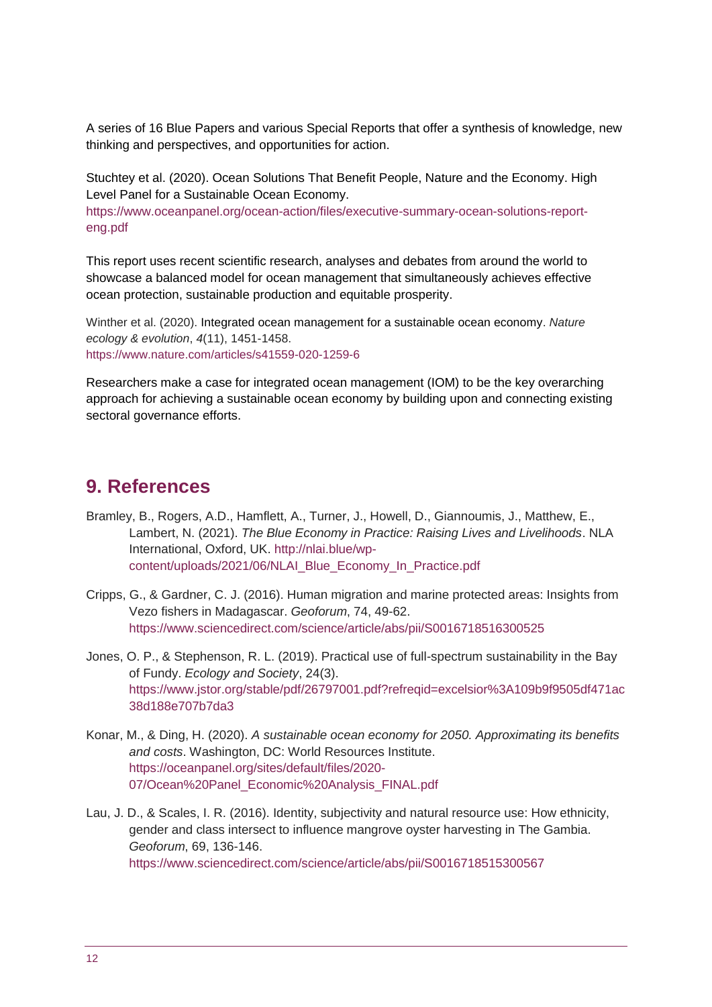A series of 16 Blue Papers and various Special Reports that offer a synthesis of knowledge, new thinking and perspectives, and opportunities for action.

Stuchtey et al. (2020). Ocean Solutions That Benefit People, Nature and the Economy. High Level Panel for a Sustainable Ocean Economy.

[https://www.oceanpanel.org/ocean-action/files/executive-summary-ocean-solutions-report](https://www.oceanpanel.org/ocean-action/files/executive-summary-ocean-solutions-report-eng.pdf)[eng.pdf](https://www.oceanpanel.org/ocean-action/files/executive-summary-ocean-solutions-report-eng.pdf)

This report uses recent scientific research, analyses and debates from around the world to showcase a balanced model for ocean management that simultaneously achieves effective ocean protection, sustainable production and equitable prosperity.

Winther et al. (2020). Integrated ocean management for a sustainable ocean economy. *Nature ecology & evolution*, *4*(11), 1451-1458. <https://www.nature.com/articles/s41559-020-1259-6>

Researchers make a case for integrated ocean management (IOM) to be the key overarching approach for achieving a sustainable ocean economy by building upon and connecting existing sectoral governance efforts.

### <span id="page-11-0"></span>**9. References**

- Bramley, B., Rogers, A.D., Hamflett, A., Turner, J., Howell, D., Giannoumis, J., Matthew, E., Lambert, N. (2021). *The Blue Economy in Practice: Raising Lives and Livelihoods*. NLA International, Oxford, UK. [http://nlai.blue/wp](http://nlai.blue/wp-content/uploads/2021/06/NLAI_Blue_Economy_In_Practice.pdf)[content/uploads/2021/06/NLAI\\_Blue\\_Economy\\_In\\_Practice.pdf](http://nlai.blue/wp-content/uploads/2021/06/NLAI_Blue_Economy_In_Practice.pdf)
- Cripps, G., & Gardner, C. J. (2016). Human migration and marine protected areas: Insights from Vezo fishers in Madagascar. *Geoforum*, 74, 49-62. <https://www.sciencedirect.com/science/article/abs/pii/S0016718516300525>
- Jones, O. P., & Stephenson, R. L. (2019). Practical use of full-spectrum sustainability in the Bay of Fundy. *Ecology and Society*, 24(3). [https://www.jstor.org/stable/pdf/26797001.pdf?refreqid=excelsior%3A109b9f9505df471ac](https://www.jstor.org/stable/pdf/26797001.pdf?refreqid=excelsior%3A109b9f9505df471ac38d188e707b7da3) [38d188e707b7da3](https://www.jstor.org/stable/pdf/26797001.pdf?refreqid=excelsior%3A109b9f9505df471ac38d188e707b7da3)
- Konar, M., & Ding, H. (2020). *A sustainable ocean economy for 2050. Approximating its benefits and costs*. Washington, DC: World Resources Institute. [https://oceanpanel.org/sites/default/files/2020-](https://oceanpanel.org/sites/default/files/2020-07/Ocean%20Panel_Economic%20Analysis_FINAL.pdf) 07/Ocean%20Panel Economic%20Analysis FINAL.pdf
- Lau, J. D., & Scales, I. R. (2016). Identity, subjectivity and natural resource use: How ethnicity, gender and class intersect to influence mangrove oyster harvesting in The Gambia. *Geoforum*, 69, 136-146. <https://www.sciencedirect.com/science/article/abs/pii/S0016718515300567>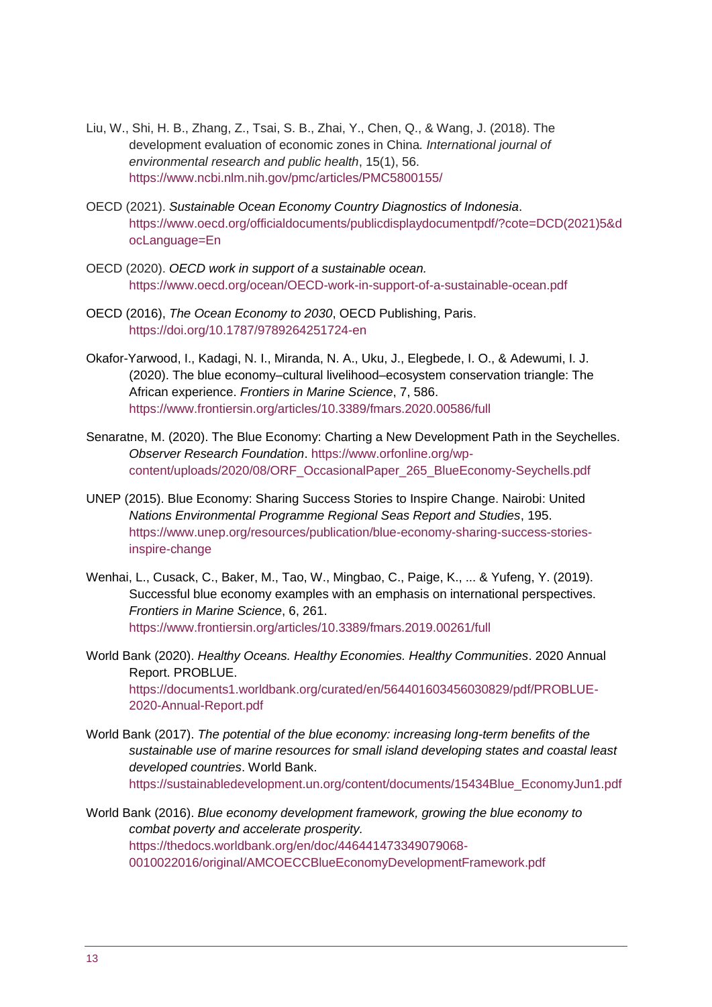- Liu, W., Shi, H. B., Zhang, Z., Tsai, S. B., Zhai, Y., Chen, Q., & Wang, J. (2018). The development evaluation of economic zones in China*. International journal of environmental research and public health*, 15(1), 56. <https://www.ncbi.nlm.nih.gov/pmc/articles/PMC5800155/>
- OECD (2021). *Sustainable Ocean Economy Country Diagnostics of Indonesia*. [https://www.oecd.org/officialdocuments/publicdisplaydocumentpdf/?cote=DCD\(2021\)5&d](https://www.oecd.org/officialdocuments/publicdisplaydocumentpdf/?cote=DCD(2021)5&docLanguage=En) [ocLanguage=En](https://www.oecd.org/officialdocuments/publicdisplaydocumentpdf/?cote=DCD(2021)5&docLanguage=En)
- OECD (2020). *OECD work in support of a sustainable ocean.*  <https://www.oecd.org/ocean/OECD-work-in-support-of-a-sustainable-ocean.pdf>
- OECD (2016), *The Ocean Economy to 2030*, OECD Publishing, Paris. <https://doi.org/10.1787/9789264251724-en>
- Okafor-Yarwood, I., Kadagi, N. I., Miranda, N. A., Uku, J., Elegbede, I. O., & Adewumi, I. J. (2020). The blue economy–cultural livelihood–ecosystem conservation triangle: The African experience. *Frontiers in Marine Science*, 7, 586. <https://www.frontiersin.org/articles/10.3389/fmars.2020.00586/full>
- Senaratne, M. (2020). The Blue Economy: Charting a New Development Path in the Seychelles. *Observer Research Foundation*. [https://www.orfonline.org/wp](https://www.orfonline.org/wp-content/uploads/2020/08/ORF_OccasionalPaper_265_BlueEconomy-Seychells.pdf)[content/uploads/2020/08/ORF\\_OccasionalPaper\\_265\\_BlueEconomy-Seychells.pdf](https://www.orfonline.org/wp-content/uploads/2020/08/ORF_OccasionalPaper_265_BlueEconomy-Seychells.pdf)
- UNEP (2015). Blue Economy: Sharing Success Stories to Inspire Change. Nairobi: United *Nations Environmental Programme Regional Seas Report and Studies*, 195. [https://www.unep.org/resources/publication/blue-economy-sharing-success-stories](https://www.unep.org/resources/publication/blue-economy-sharing-success-stories-inspire-change)[inspire-change](https://www.unep.org/resources/publication/blue-economy-sharing-success-stories-inspire-change)
- Wenhai, L., Cusack, C., Baker, M., Tao, W., Mingbao, C., Paige, K., ... & Yufeng, Y. (2019). Successful blue economy examples with an emphasis on international perspectives. *Frontiers in Marine Science*, 6, 261. <https://www.frontiersin.org/articles/10.3389/fmars.2019.00261/full>
- World Bank (2020). *Healthy Oceans. Healthy Economies. Healthy Communities*. 2020 Annual Report. PROBLUE. [https://documents1.worldbank.org/curated/en/564401603456030829/pdf/PROBLUE-](https://documents1.worldbank.org/curated/en/564401603456030829/pdf/PROBLUE-2020-Annual-Report.pdf)[2020-Annual-Report.pdf](https://documents1.worldbank.org/curated/en/564401603456030829/pdf/PROBLUE-2020-Annual-Report.pdf)
- World Bank (2017). *The potential of the blue economy: increasing long-term benefits of the sustainable use of marine resources for small island developing states and coastal least developed countries*. World Bank. [https://sustainabledevelopment.un.org/content/documents/15434Blue\\_EconomyJun1.pdf](https://sustainabledevelopment.un.org/content/documents/15434Blue_EconomyJun1.pdf)

World Bank (2016). *Blue economy development framework, growing the blue economy to combat poverty and accelerate prosperity.* [https://thedocs.worldbank.org/en/doc/446441473349079068-](https://thedocs.worldbank.org/en/doc/446441473349079068-0010022016/original/AMCOECCBlueEconomyDevelopmentFramework.pdf) [0010022016/original/AMCOECCBlueEconomyDevelopmentFramework.pdf](https://thedocs.worldbank.org/en/doc/446441473349079068-0010022016/original/AMCOECCBlueEconomyDevelopmentFramework.pdf)